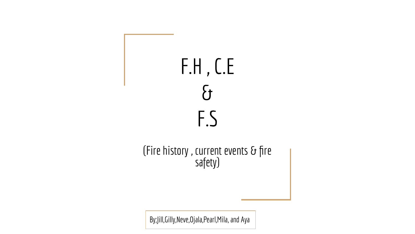

(Fire history , current events  $\delta$  fire safety)

By;Jill,Gilly,Neve,Ojala,Pearl,Mila, and Aya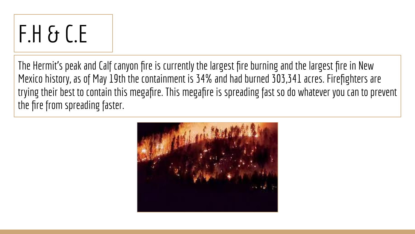# F.H & C.E

The Hermit's peak and Calf canyon fire is currently the largest fire burning and the largest fire in New Mexico history, as of May 19th the containment is 34% and had burned 303,341 acres. Firefighters are trying their best to contain this megafire. This megafire is spreading fast so do whatever you can to prevent the fire from spreading faster.

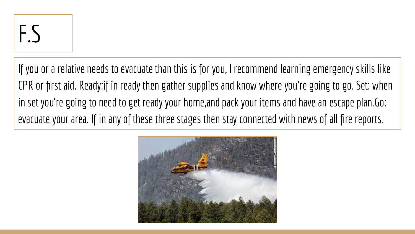If you or a relative needs to evacuate than this is for you, I recommend learning emergency skills like CPR or first aid. Ready:if in ready then gather supplies and know where you're going to go. Set: when in set you're going to need to get ready your home,and pack your items and have an escape plan.Go: evacuate your area. If in any of these three stages then stay connected with news of all fire reports.

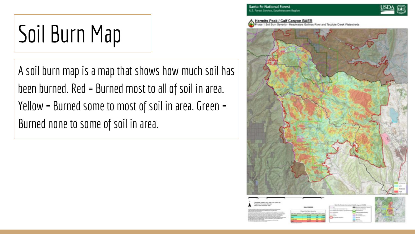# Soil Burn Map

A soil burn map is a map that shows how much soil has been burned. Red = Burned most to all of soil in area. Yellow = Burned some to most of soil in area. Green = Burned none to some of soil in area.



Peak / Calf Canyon BAER Tecolote Creek Watershed

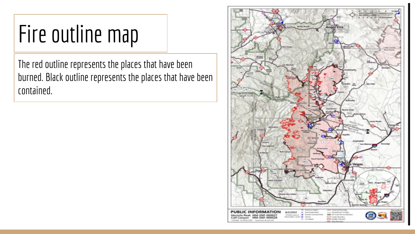### Fire outline map

The red outline represents the places that have been burned. Black outline represents the places that have been contained.

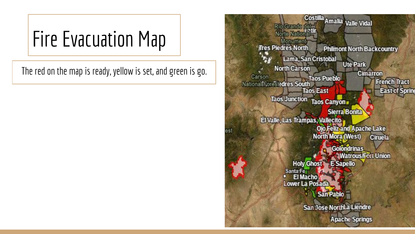#### Fire Evacuation Map

The red on the map is ready, yellow is set, and green is go.

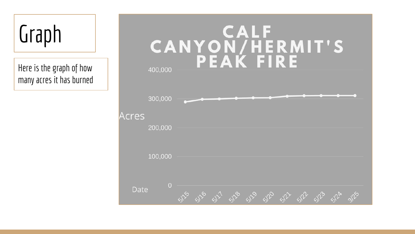